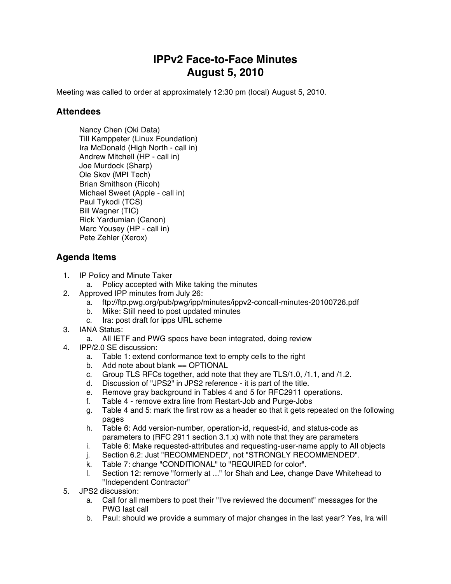## **IPPv2 Face-to-Face Minutes August 5, 2010**

Meeting was called to order at approximately 12:30 pm (local) August 5, 2010.

## **Attendees**

Nancy Chen (Oki Data) Till Kamppeter (Linux Foundation) Ira McDonald (High North - call in) Andrew Mitchell (HP - call in) Joe Murdock (Sharp) Ole Skov (MPI Tech) Brian Smithson (Ricoh) Michael Sweet (Apple - call in) Paul Tykodi (TCS) Bill Wagner (TIC) Rick Yardumian (Canon) Marc Yousey (HP - call in) Pete Zehler (Xerox)

## **Agenda Items**

- 1. IP Policy and Minute Taker
	- a. Policy accepted with Mike taking the minutes
- 2. Approved IPP minutes from July 26:
	- a. ftp://ftp.pwg.org/pub/pwg/ipp/minutes/ippv2-concall-minutes-20100726.pdf
	- b. Mike: Still need to post updated minutes
	- c. Ira: post draft for ipps URL scheme
- 3. IANA Status:
	- a. All IETF and PWG specs have been integrated, doing review
- 4. IPP/2.0 SE discussion:
	- a. Table 1: extend conformance text to empty cells to the right
	- b. Add note about blank == OPTIONAL
	- c. Group TLS RFCs together, add note that they are TLS/1.0, /1.1, and /1.2.
	- d. Discussion of "JPS2" in JPS2 reference it is part of the title.
	- e. Remove gray background in Tables 4 and 5 for RFC2911 operations.
	- f. Table 4 remove extra line from Restart-Job and Purge-Jobs
	- g. Table 4 and 5: mark the first row as a header so that it gets repeated on the following pages
	- h. Table 6: Add version-number, operation-id, request-id, and status-code as parameters to (RFC 2911 section 3.1.x) with note that they are parameters
	- i. Table 6: Make requested-attributes and requesting-user-name apply to All objects
	- j. Section 6.2: Just "RECOMMENDED", not "STRONGLY RECOMMENDED".
	- k. Table 7: change "CONDITIONAL" to "REQUIRED for color".
	- l. Section 12: remove "formerly at ..." for Shah and Lee, change Dave Whitehead to "Independent Contractor"
- 5. JPS2 discussion:
	- a. Call for all members to post their "I've reviewed the document" messages for the PWG last call
	- b. Paul: should we provide a summary of major changes in the last year? Yes, Ira will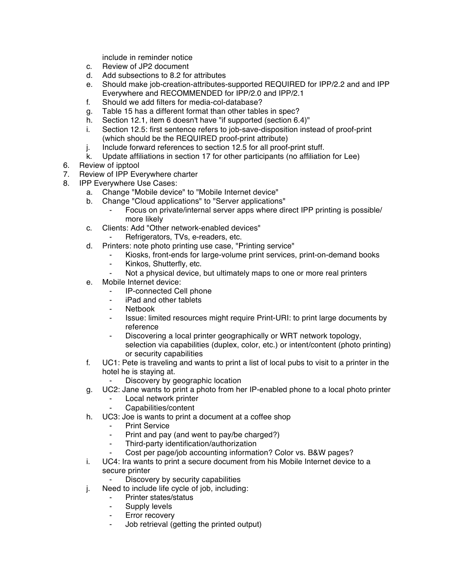include in reminder notice

- c. Review of JP2 document
- d. Add subsections to 8.2 for attributes
- e. Should make job-creation-attributes-supported REQUIRED for IPP/2.2 and and IPP Everywhere and RECOMMENDED for IPP/2.0 and IPP/2.1
- f. Should we add filters for media-col-database?
- g. Table 15 has a different format than other tables in spec?
- h. Section 12.1, item 6 doesn't have "if supported (section 6.4)"
- i. Section 12.5: first sentence refers to job-save-disposition instead of proof-print (which should be the REQUIRED proof-print attribute)
- j. Include forward references to section 12.5 for all proof-print stuff.
- k. Update affiliations in section 17 for other participants (no affiliation for Lee)
- 6. Review of ipptool
- 7. Review of IPP Everywhere charter
- 8. IPP Everywhere Use Cases:
	- a. Change "Mobile device" to "Mobile Internet device"
	- b. Change "Cloud applications" to "Server applications"
		- Focus on private/internal server apps where direct IPP printing is possible/ more likely
	- c. Clients: Add "Other network-enabled devices"
		- Refrigerators, TVs, e-readers, etc.
	- d. Printers: note photo printing use case, "Printing service"
		- Kiosks, front-ends for large-volume print services, print-on-demand books
		- ⁃ Kinkos, Shutterfly, etc.
		- Not a physical device, but ultimately maps to one or more real printers
	- e. Mobile Internet device:
		- ⁃ IP-connected Cell phone
		- iPad and other tablets
		- ⁃ Netbook
		- Issue: limited resources might require Print-URI: to print large documents by reference
		- ⁃ Discovering a local printer geographically or WRT network topology, selection via capabilities (duplex, color, etc.) or intent/content (photo printing) or security capabilities
	- f. UC1: Pete is traveling and wants to print a list of local pubs to visit to a printer in the hotel he is staying at.
		- Discovery by geographic location
	- g. UC2: Jane wants to print a photo from her IP-enabled phone to a local photo printer
		- Local network printer
		- Capabilities/content
	- h. UC3: Joe is wants to print a document at a coffee shop
		- **Print Service**
		- Print and pay (and went to pay/be charged?)
		- Third-party identification/authorization
		- Cost per page/job accounting information? Color vs. B&W pages?
	- i. UC4: Ira wants to print a secure document from his Mobile Internet device to a secure printer
		- Discovery by security capabilities
	- j. Need to include life cycle of job, including:
		- ⁃ Printer states/status
		- ⁃ Supply levels
		- ⁃ Error recovery
		- ⁃ Job retrieval (getting the printed output)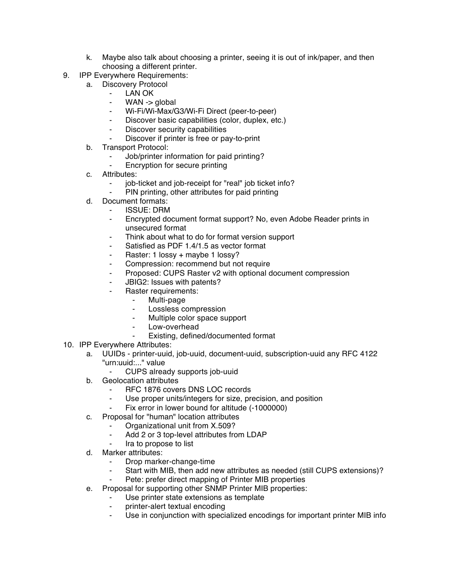- k. Maybe also talk about choosing a printer, seeing it is out of ink/paper, and then choosing a different printer.
- 9. IPP Everywhere Requirements:
	- a. Discovery Protocol
		- ⁃ LAN OK
			- WAN  $\rightarrow$  global
		- Wi-Fi/Wi-Max/G3/Wi-Fi Direct (peer-to-peer)
		- Discover basic capabilities (color, duplex, etc.)
		- ⁃ Discover security capabilities
		- Discover if printer is free or pay-to-print
	- b. Transport Protocol:
		- Job/printer information for paid printing?
		- ⁃ Encryption for secure printing
	- c. Attributes:
		- job-ticket and job-receipt for "real" job ticket info?
		- ⁃ PIN printing, other attributes for paid printing
	- d. Document formats:
		- **ISSUE: DRM**
		- ⁃ Encrypted document format support? No, even Adobe Reader prints in unsecured format
		- Think about what to do for format version support
		- ⁃ Satisfied as PDF 1.4/1.5 as vector format
		- Raster: 1 lossy + maybe 1 lossy?
		- Compression: recommend but not require
		- Proposed: CUPS Raster v2 with optional document compression
		- ⁃ JBIG2: Issues with patents?
			- Raster requirements:
				- ⁃ Multi-page
				- ⁃ Lossless compression
				- Multiple color space support
				- Low-overhead
				- Existing, defined/documented format
- 10. IPP Everywhere Attributes:
	- a. UUIDs printer-uuid, job-uuid, document-uuid, subscription-uuid any RFC 4122 "urn:uuid:..." value
		- ⁃ CUPS already supports job-uuid
	- b. Geolocation attributes
		- RFC 1876 covers DNS LOC records
		- Use proper units/integers for size, precision, and position
		- Fix error in lower bound for altitude (-1000000)
	- c. Proposal for "human" location attributes
		- ⁃ Organizational unit from X.509?
			- Add 2 or 3 top-level attributes from LDAP
		- ⁃ Ira to propose to list
	- d. Marker attributes:
		- ⁃ Drop marker-change-time
		- Start with MIB, then add new attributes as needed (still CUPS extensions)?
		- Pete: prefer direct mapping of Printer MIB properties
	- e. Proposal for supporting other SNMP Printer MIB properties:
		- Use printer state extensions as template
		- printer-alert textual encoding
		- ⁃ Use in conjunction with specialized encodings for important printer MIB info